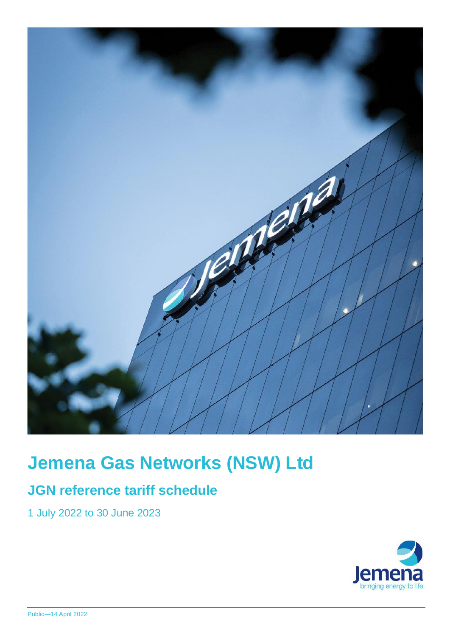

# **Jemena Gas Networks (NSW) Ltd**

# **JGN reference tariff schedule**

1 July 2022 to 30 June 2023

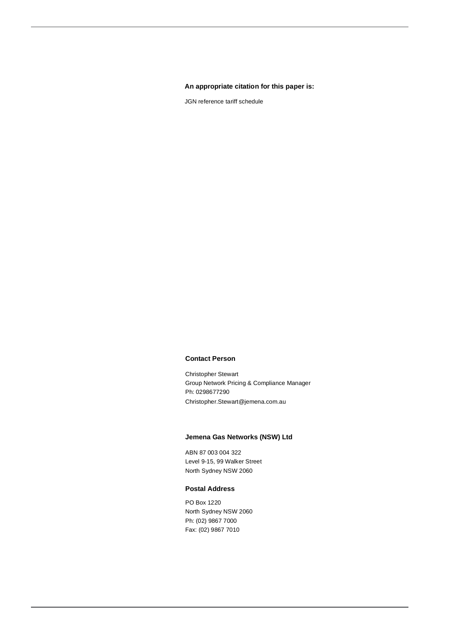#### **An appropriate citation for this paper is:**

JGN reference tariff schedule

#### **Contact Person**

Christopher Stewart Group Network Pricing & Compliance Manager Ph: 0298677290 Christopher.Stewart@jemena.com.au

#### **Jemena Gas Networks (NSW) Ltd**

ABN 87 003 004 322 Level 9-15, 99 Walker Street North Sydney NSW 2060

#### **Postal Address**

PO Box 1220 North Sydney NSW 2060 Ph: (02) 9867 7000 Fax: (02) 9867 7010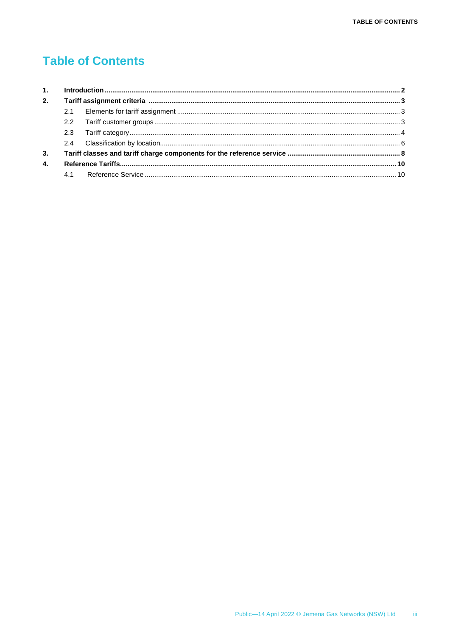# **Table of Contents**

| 2. |  |  |  |
|----|--|--|--|
|    |  |  |  |
|    |  |  |  |
|    |  |  |  |
|    |  |  |  |
| 3. |  |  |  |
| 4. |  |  |  |
|    |  |  |  |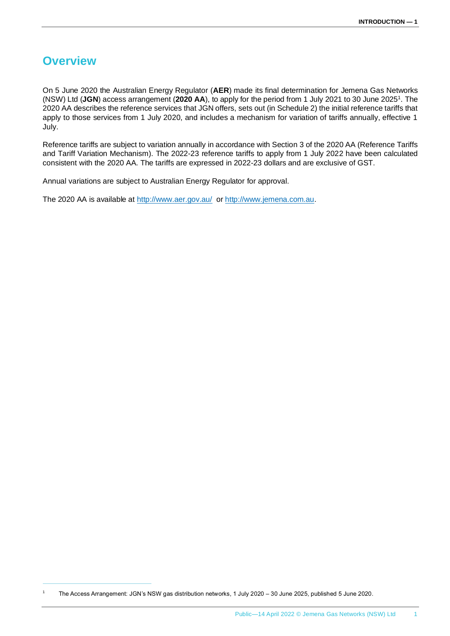# **Overview**

On 5 June 2020 the Australian Energy Regulator (**AER**) made its final determination for Jemena Gas Networks (NSW) Ltd (JGN) access arrangement (2020 AA), to apply for the period from 1 July 2021 to 30 June 2025<sup>1</sup>. The 2020 AA describes the reference services that JGN offers, sets out (in Schedule 2) the initial reference tariffs that apply to those services from 1 July 2020, and includes a mechanism for variation of tariffs annually, effective 1 July.

Reference tariffs are subject to variation annually in accordance with Section 3 of the 2020 AA (Reference Tariffs and Tariff Variation Mechanism). The 2022-23 reference tariffs to apply from 1 July 2022 have been calculated consistent with the 2020 AA. The tariffs are expressed in 2022-23 dollars and are exclusive of GST.

Annual variations are subject to Australian Energy Regulator for approval.

The 2020 AA is available at<http://www.aer.gov.au/>or [http://www.jemena.com.au.](http://www.jemena.com.au/)

<sup>1</sup> The Access Arrangement: JGN's NSW gas distribution networks, 1 July 2020 – 30 June 2025, published 5 June 2020.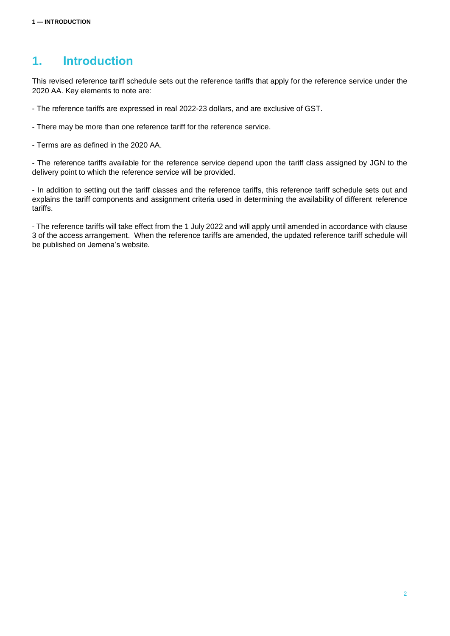# <span id="page-4-0"></span>**1. Introduction**

This revised reference tariff schedule sets out the reference tariffs that apply for the reference service under the 2020 AA. Key elements to note are:

- The reference tariffs are expressed in real 2022-23 dollars, and are exclusive of GST.

- There may be more than one reference tariff for the reference service.

- Terms are as defined in the 2020 AA.

- The reference tariffs available for the reference service depend upon the tariff class assigned by JGN to the delivery point to which the reference service will be provided.

- In addition to setting out the tariff classes and the reference tariffs, this reference tariff schedule sets out and explains the tariff components and assignment criteria used in determining the availability of different reference tariffs.

- The reference tariffs will take effect from the 1 July 2022 and will apply until amended in accordance with clause 3 of the access arrangement. When the reference tariffs are amended, the updated reference tariff schedule will be published on Jemena's website.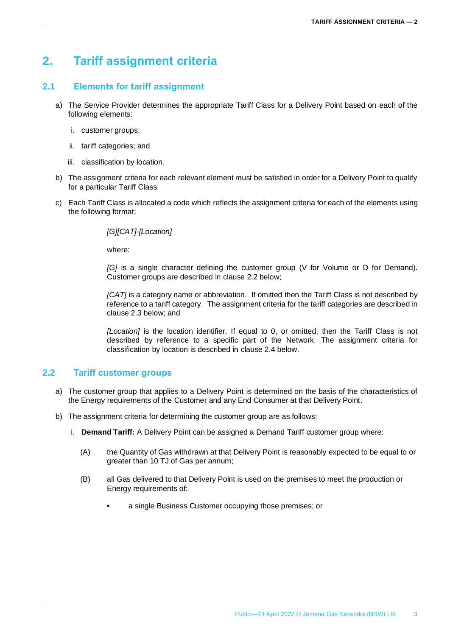# <span id="page-5-0"></span>**2. Tariff assignment criteria**

# <span id="page-5-1"></span>**2.1 Elements for tariff assignment**

- a) The Service Provider determines the appropriate Tariff Class for a Delivery Point based on each of the following elements:
	- i. customer groups;
	- ii. tariff categories; and
	- iii. classification by location.
- b) The assignment criteria for each relevant element must be satisfied in order for a Delivery Point to qualify for a particular Tariff Class.
- c) Each Tariff Class is allocated a code which reflects the assignment criteria for each of the elements using the following format:

*[G][CAT]-[Location]*

where:

*[G]* is a single character defining the customer group (V for Volume or D for Demand). Customer groups are described in clause 2.2 below;

*[CAT]* is a category name or abbreviation. If omitted then the Tariff Class is not described by reference to a tariff category. The assignment criteria for the tariff categories are described in clause 2.3 below; and

*[Location]* is the location identifier. If equal to 0, or omitted, then the Tariff Class is not described by reference to a specific part of the Network. The assignment criteria for classification by location is described in clause 2.4 below.

### <span id="page-5-2"></span>**2.2 Tariff customer groups**

- a) The customer group that applies to a Delivery Point is determined on the basis of the characteristics of the Energy requirements of the Customer and any End Consumer at that Delivery Point.
- b) The assignment criteria for determining the customer group are as follows:
	- i. **Demand Tariff:** A Delivery Point can be assigned a Demand Tariff customer group where:
		- (A) the Quantity of Gas withdrawn at that Delivery Point is reasonably expected to be equal to or greater than 10 TJ of Gas per annum;
		- (B) all Gas delivered to that Delivery Point is used on the premises to meet the production or Energy requirements of:
			- a single Business Customer occupying those premises; or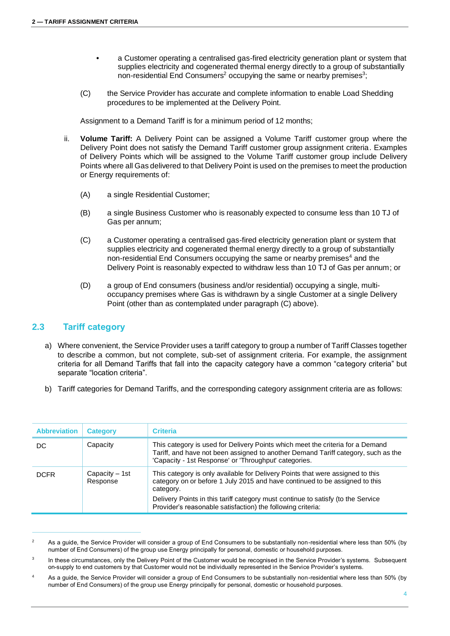- a Customer operating a centralised gas-fired electricity generation plant or system that supplies electricity and cogenerated thermal energy directly to a group of substantially non-residential End Consumers<sup>2</sup> occupying the same or nearby premises<sup>3</sup>;
- (C) the Service Provider has accurate and complete information to enable Load Shedding procedures to be implemented at the Delivery Point.

Assignment to a Demand Tariff is for a minimum period of 12 months;

- ii. **Volume Tariff:** A Delivery Point can be assigned a Volume Tariff customer group where the Delivery Point does not satisfy the Demand Tariff customer group assignment criteria. Examples of Delivery Points which will be assigned to the Volume Tariff customer group include Delivery Points where all Gas delivered to that Delivery Point is used on the premises to meet the production or Energy requirements of:
	- (A) a single Residential Customer;
	- (B) a single Business Customer who is reasonably expected to consume less than 10 TJ of Gas per annum;
	- (C) a Customer operating a centralised gas-fired electricity generation plant or system that supplies electricity and cogenerated thermal energy directly to a group of substantially non-residential End Consumers occupying the same or nearby premises<sup>4</sup> and the Delivery Point is reasonably expected to withdraw less than 10 TJ of Gas per annum; or
	- (D) a group of End consumers (business and/or residential) occupying a single, multioccupancy premises where Gas is withdrawn by a single Customer at a single Delivery Point (other than as contemplated under paragraph (C) above).

### <span id="page-6-1"></span><span id="page-6-0"></span>**2.3 Tariff category**

- a) Where convenient, the Service Provider uses a tariff category to group a number of Tariff Classes together to describe a common, but not complete, sub-set of assignment criteria. For example, the assignment criteria for all Demand Tariffs that fall into the capacity category have a common "category criteria" but separate "location criteria".
- b) Tariff categories for Demand Tariffs, and the corresponding category assignment criteria are as follows:

| <b>Abbreviation</b> | <b>Category</b>            | <b>Criteria</b>                                                                                                                                                                                                                                                                                                               |
|---------------------|----------------------------|-------------------------------------------------------------------------------------------------------------------------------------------------------------------------------------------------------------------------------------------------------------------------------------------------------------------------------|
| DC.                 | Capacity                   | This category is used for Delivery Points which meet the criteria for a Demand<br>Tariff, and have not been assigned to another Demand Tariff category, such as the<br>'Capacity - 1st Response' or 'Throughput' categories.                                                                                                  |
| <b>DCFR</b>         | Capacity – 1st<br>Response | This category is only available for Delivery Points that were assigned to this<br>category on or before 1 July 2015 and have continued to be assigned to this<br>category.<br>Delivery Points in this tariff category must continue to satisfy (to the Service<br>Provider's reasonable satisfaction) the following criteria: |

<sup>&</sup>lt;sup>2</sup> As a guide, the Service Provider will consider a group of End Consumers to be substantially non-residential where less than 50% (by number of End Consumers) of the group use Energy principally for personal, domestic or household purposes.

<sup>3</sup> In these circumstances, only the Delivery Point of the Customer would be recognised in the Service Provider's systems. Subsequent on-supply to end customers by that Customer would not be individually represented in the Service Provider's systems.

<sup>4</sup> As a guide, the Service Provider will consider a group of End Consumers to be substantially non-residential where less than 50% (by number of End Consumers) of the group use Energy principally for personal, domestic or household purposes.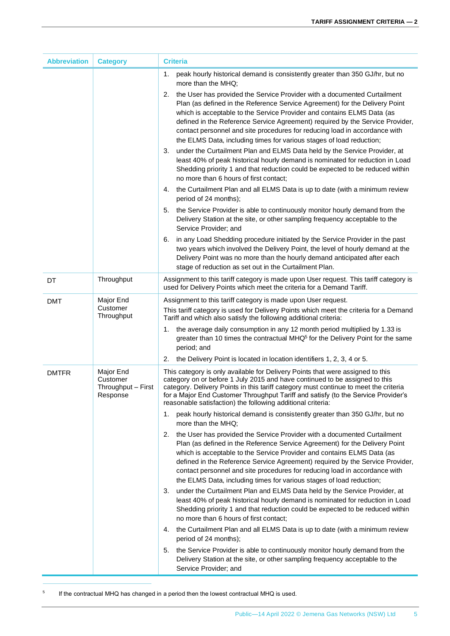| <b>Abbreviation</b> | <b>Category</b>                                         | <b>Criteria</b>                                                                                                                                                                                                                                                                                                                                                                                                                                                                |  |  |
|---------------------|---------------------------------------------------------|--------------------------------------------------------------------------------------------------------------------------------------------------------------------------------------------------------------------------------------------------------------------------------------------------------------------------------------------------------------------------------------------------------------------------------------------------------------------------------|--|--|
|                     |                                                         | peak hourly historical demand is consistently greater than 350 GJ/hr, but no<br>1.<br>more than the MHQ;                                                                                                                                                                                                                                                                                                                                                                       |  |  |
|                     |                                                         | the User has provided the Service Provider with a documented Curtailment<br>2.<br>Plan (as defined in the Reference Service Agreement) for the Delivery Point<br>which is acceptable to the Service Provider and contains ELMS Data (as<br>defined in the Reference Service Agreement) required by the Service Provider,<br>contact personnel and site procedures for reducing load in accordance with<br>the ELMS Data, including times for various stages of load reduction; |  |  |
|                     |                                                         | under the Curtailment Plan and ELMS Data held by the Service Provider, at<br>3.<br>least 40% of peak historical hourly demand is nominated for reduction in Load<br>Shedding priority 1 and that reduction could be expected to be reduced within<br>no more than 6 hours of first contact;                                                                                                                                                                                    |  |  |
|                     |                                                         | the Curtailment Plan and all ELMS Data is up to date (with a minimum review<br>4.<br>period of 24 months);                                                                                                                                                                                                                                                                                                                                                                     |  |  |
|                     |                                                         | the Service Provider is able to continuously monitor hourly demand from the<br>5.<br>Delivery Station at the site, or other sampling frequency acceptable to the<br>Service Provider; and                                                                                                                                                                                                                                                                                      |  |  |
|                     |                                                         | in any Load Shedding procedure initiated by the Service Provider in the past<br>6.<br>two years which involved the Delivery Point, the level of hourly demand at the<br>Delivery Point was no more than the hourly demand anticipated after each<br>stage of reduction as set out in the Curtailment Plan.                                                                                                                                                                     |  |  |
| DT                  | Throughput                                              | Assignment to this tariff category is made upon User request. This tariff category is<br>used for Delivery Points which meet the criteria for a Demand Tariff.                                                                                                                                                                                                                                                                                                                 |  |  |
| <b>DMT</b>          | Major End<br>Customer<br>Throughput                     | Assignment to this tariff category is made upon User request.<br>This tariff category is used for Delivery Points which meet the criteria for a Demand<br>Tariff and which also satisfy the following additional criteria:<br>the average daily consumption in any 12 month period multiplied by 1.33 is<br>1.<br>greater than 10 times the contractual MHQ <sup>5</sup> for the Delivery Point for the same<br>period; and                                                    |  |  |
|                     |                                                         | the Delivery Point is located in location identifiers 1, 2, 3, 4 or 5.<br>2.                                                                                                                                                                                                                                                                                                                                                                                                   |  |  |
| <b>DMTFR</b>        | Major End<br>Customer<br>Throughput - First<br>Response | This category is only available for Delivery Points that were assigned to this<br>category on or before 1 July 2015 and have continued to be assigned to this<br>category. Delivery Points in this tariff category must continue to meet the criteria<br>for a Major End Customer Throughput Tariff and satisfy (to the Service Provider's<br>reasonable satisfaction) the following additional criteria:                                                                      |  |  |
|                     |                                                         | peak hourly historical demand is consistently greater than 350 GJ/hr, but no<br>1.<br>more than the MHQ;                                                                                                                                                                                                                                                                                                                                                                       |  |  |
|                     |                                                         | the User has provided the Service Provider with a documented Curtailment<br>2.<br>Plan (as defined in the Reference Service Agreement) for the Delivery Point<br>which is acceptable to the Service Provider and contains ELMS Data (as<br>defined in the Reference Service Agreement) required by the Service Provider,<br>contact personnel and site procedures for reducing load in accordance with<br>the ELMS Data, including times for various stages of load reduction; |  |  |
|                     |                                                         | under the Curtailment Plan and ELMS Data held by the Service Provider, at<br>3.<br>least 40% of peak historical hourly demand is nominated for reduction in Load<br>Shedding priority 1 and that reduction could be expected to be reduced within<br>no more than 6 hours of first contact;                                                                                                                                                                                    |  |  |
|                     |                                                         | the Curtailment Plan and all ELMS Data is up to date (with a minimum review<br>4.<br>period of 24 months);                                                                                                                                                                                                                                                                                                                                                                     |  |  |
|                     |                                                         | the Service Provider is able to continuously monitor hourly demand from the<br>5.<br>Delivery Station at the site, or other sampling frequency acceptable to the<br>Service Provider; and                                                                                                                                                                                                                                                                                      |  |  |

5 If the contractual MHQ has changed in a period then the lowest contractual MHQ is used.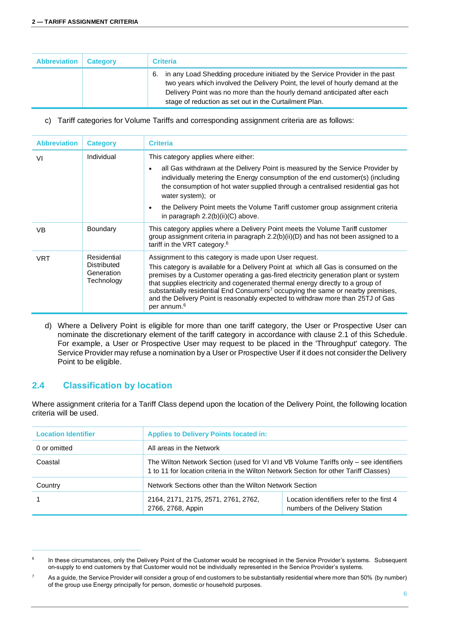| <b>Abbreviation</b> | <b>Category</b> | <b>Criteria</b>                                                                                                                                                                                                                                                                                            |
|---------------------|-----------------|------------------------------------------------------------------------------------------------------------------------------------------------------------------------------------------------------------------------------------------------------------------------------------------------------------|
|                     |                 | in any Load Shedding procedure initiated by the Service Provider in the past<br>6.<br>two years which involved the Delivery Point, the level of hourly demand at the<br>Delivery Point was no more than the hourly demand anticipated after each<br>stage of reduction as set out in the Curtailment Plan. |

c) Tariff categories for Volume Tariffs and corresponding assignment criteria are as follows:

| <b>Abbreviation</b> | <b>Category</b>                                        | <b>Criteria</b>                                                                                                                                                                                                                                                                                                                                                                                                                                                                                                                      |
|---------------------|--------------------------------------------------------|--------------------------------------------------------------------------------------------------------------------------------------------------------------------------------------------------------------------------------------------------------------------------------------------------------------------------------------------------------------------------------------------------------------------------------------------------------------------------------------------------------------------------------------|
| VI                  | Individual                                             | This category applies where either:<br>all Gas withdrawn at the Delivery Point is measured by the Service Provider by<br>$\bullet$<br>individually metering the Energy consumption of the end customer(s) (including<br>the consumption of hot water supplied through a centralised residential gas hot<br>water system); or                                                                                                                                                                                                         |
|                     |                                                        | the Delivery Point meets the Volume Tariff customer group assignment criteria<br>$\bullet$<br>in paragraph 2.2(b)(ii)(C) above.                                                                                                                                                                                                                                                                                                                                                                                                      |
| VB                  | <b>Boundary</b>                                        | This category applies where a Delivery Point meets the Volume Tariff customer<br>group assignment criteria in paragraph $2.2(b)(ii)(D)$ and has not been assigned to a<br>tariff in the VRT category. <sup>6</sup>                                                                                                                                                                                                                                                                                                                   |
| <b>VRT</b>          | Residential<br>Distributed<br>Generation<br>Technology | Assignment to this category is made upon User request.<br>This category is available for a Delivery Point at which all Gas is consumed on the<br>premises by a Customer operating a gas-fired electricity generation plant or system<br>that supplies electricity and cogenerated thermal energy directly to a group of<br>substantially residential End Consumers <sup>7</sup> occupying the same or nearby premises,<br>and the Delivery Point is reasonably expected to withdraw more than 25TJ of Gas<br>per annum. <sup>6</sup> |

<span id="page-8-1"></span>d) Where a Delivery Point is eligible for more than one tariff category, the User or Prospective User can nominate the discretionary element of the tariff category in accordance with clause 2.1 of this Schedule. For example, a User or Prospective User may request to be placed in the 'Throughput' category. The Service Provider may refuse a nomination by a User or Prospective User if it does not consider the Delivery Point to be eligible.

### <span id="page-8-0"></span>**2.4 Classification by location**

Where assignment criteria for a Tariff Class depend upon the location of the Delivery Point, the following location criteria will be used.

| <b>Location Identifier</b> | <b>Applies to Delivery Points located in:</b>                                                                                                                                 |  |  |  |  |
|----------------------------|-------------------------------------------------------------------------------------------------------------------------------------------------------------------------------|--|--|--|--|
| 0 or omitted               | All areas in the Network                                                                                                                                                      |  |  |  |  |
| Coastal                    | The Wilton Network Section (used for VI and VB Volume Tariffs only – see identifiers<br>1 to 11 for location criteria in the Wilton Network Section for other Tariff Classes) |  |  |  |  |
| Country                    | Network Sections other than the Wilton Network Section                                                                                                                        |  |  |  |  |
|                            | Location identifiers refer to the first 4<br>2164, 2171, 2175, 2571, 2761, 2762,<br>numbers of the Delivery Station<br>2766, 2768, Appin                                      |  |  |  |  |

<sup>6</sup> In these circumstances, only the Delivery Point of the Customer would be recognised in the Service Provider's systems. Subsequent on-supply to end customers by that Customer would not be individually represented in the Service Provider's systems.

<sup>7</sup> As a guide, the Service Provider will consider a group of end customers to be substantially residential where more than 50% (by number) of the group use Energy principally for person, domestic or household purposes.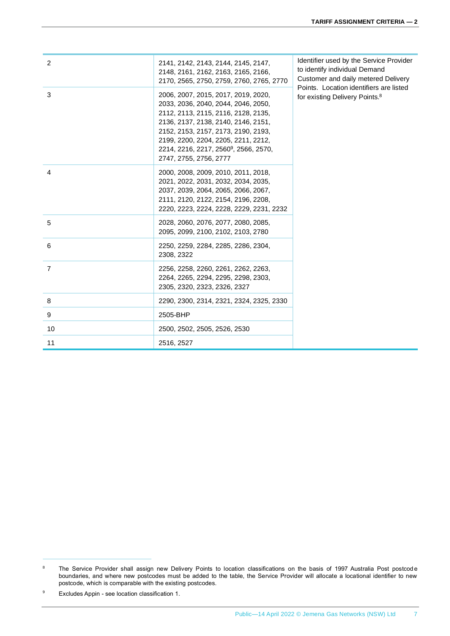| 2              | 2141, 2142, 2143, 2144, 2145, 2147,<br>2148, 2161, 2162, 2163, 2165, 2166,<br>2170, 2565, 2750, 2759, 2760, 2765, 2770                                                                                                                                                                                                | Identifier used by the Service Provider<br>to identify individual Demand<br>Customer and daily metered Delivery<br>Points. Location identifiers are listed |
|----------------|-----------------------------------------------------------------------------------------------------------------------------------------------------------------------------------------------------------------------------------------------------------------------------------------------------------------------|------------------------------------------------------------------------------------------------------------------------------------------------------------|
| 3              | 2006, 2007, 2015, 2017, 2019, 2020,<br>2033, 2036, 2040, 2044, 2046, 2050,<br>2112, 2113, 2115, 2116, 2128, 2135,<br>2136, 2137, 2138, 2140, 2146, 2151,<br>2152, 2153, 2157, 2173, 2190, 2193,<br>2199, 2200, 2204, 2205, 2211, 2212,<br>2214, 2216, 2217, 2560 <sup>9</sup> , 2566, 2570,<br>2747, 2755, 2756, 2777 | for existing Delivery Points. <sup>8</sup>                                                                                                                 |
| 4              | 2000, 2008, 2009, 2010, 2011, 2018,<br>2021, 2022, 2031, 2032, 2034, 2035,<br>2037, 2039, 2064, 2065, 2066, 2067,<br>2111, 2120, 2122, 2154, 2196, 2208,<br>2220, 2223, 2224, 2228, 2229, 2231, 2232                                                                                                                  |                                                                                                                                                            |
| 5              | 2028, 2060, 2076, 2077, 2080, 2085,<br>2095, 2099, 2100, 2102, 2103, 2780                                                                                                                                                                                                                                             |                                                                                                                                                            |
| 6              | 2250, 2259, 2284, 2285, 2286, 2304,<br>2308, 2322                                                                                                                                                                                                                                                                     |                                                                                                                                                            |
| $\overline{7}$ | 2256, 2258, 2260, 2261, 2262, 2263,<br>2264, 2265, 2294, 2295, 2298, 2303,<br>2305, 2320, 2323, 2326, 2327                                                                                                                                                                                                            |                                                                                                                                                            |
| 8              | 2290, 2300, 2314, 2321, 2324, 2325, 2330                                                                                                                                                                                                                                                                              |                                                                                                                                                            |
| 9              | 2505-BHP                                                                                                                                                                                                                                                                                                              |                                                                                                                                                            |
| 10             | 2500, 2502, 2505, 2526, 2530                                                                                                                                                                                                                                                                                          |                                                                                                                                                            |
| 11             | 2516, 2527                                                                                                                                                                                                                                                                                                            |                                                                                                                                                            |

<sup>8</sup> The Service Provider shall assign new Delivery Points to location classifications on the basis of 1997 Australia Post postcode boundaries, and where new postcodes must be added to the table, the Service Provider will allocate a locational identifier to new postcode, which is comparable with the existing postcodes.

<sup>9</sup> Excludes Appin - see location classification 1.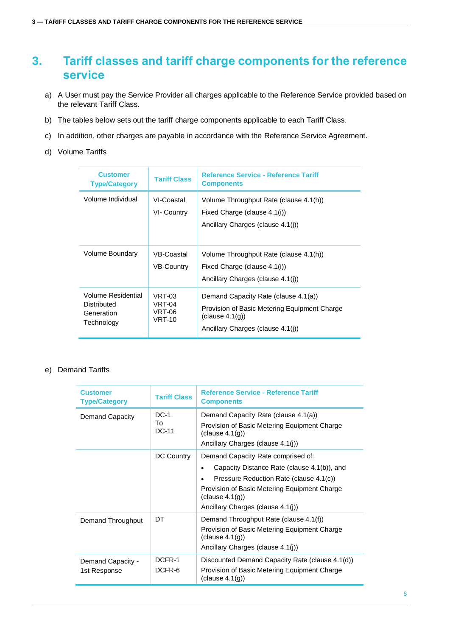# <span id="page-10-0"></span>**3. Tariff classes and tariff charge components for the reference service**

- a) A User must pay the Service Provider all charges applicable to the Reference Service provided based on the relevant Tariff Class.
- b) The tables below sets out the tariff charge components applicable to each Tariff Class.
- c) In addition, other charges are payable in accordance with the Reference Service Agreement.
- d) Volume Tariffs

| <b>Customer</b><br><b>Type/Category</b>                       | <b>Tariff Class</b>                                         | Reference Service - Reference Tariff<br><b>Components</b>                                                                                    |
|---------------------------------------------------------------|-------------------------------------------------------------|----------------------------------------------------------------------------------------------------------------------------------------------|
| Volume Individual                                             | VI-Coastal<br>VI- Country                                   | Volume Throughput Rate (clause 4.1(h))<br>Fixed Charge (clause 4.1(i))<br>Ancillary Charges (clause 4.1(i))                                  |
| Volume Boundary                                               | VB-Coastal<br><b>VB-Country</b>                             | Volume Throughput Rate (clause 4.1(h))<br>Fixed Charge (clause 4.1(i))<br>Ancillary Charges (clause 4.1(i))                                  |
| Volume Residential<br>Distributed<br>Generation<br>Technology | <b>VRT-03</b><br><b>VRT-04</b><br><b>VRT-06</b><br>$VRT-10$ | Demand Capacity Rate (clause 4.1(a))<br>Provision of Basic Metering Equipment Charge<br>(clause 4.1(q))<br>Ancillary Charges (clause 4.1(i)) |

### e) Demand Tariffs

| <b>Customer</b><br><b>Type/Category</b> | <b>Tariff Class</b>   | Reference Service - Reference Tariff<br><b>Components</b>                                                                                                                                                                          |
|-----------------------------------------|-----------------------|------------------------------------------------------------------------------------------------------------------------------------------------------------------------------------------------------------------------------------|
| Demand Capacity                         | $DC-1$<br>Т٥<br>DC-11 | Demand Capacity Rate (clause 4.1(a))<br>Provision of Basic Metering Equipment Charge<br>(clause 4.1(g))<br>Ancillary Charges (clause 4.1(i))                                                                                       |
|                                         | DC Country            | Demand Capacity Rate comprised of:<br>Capacity Distance Rate (clause 4.1(b)), and<br>Pressure Reduction Rate (clause 4.1(c))<br>Provision of Basic Metering Equipment Charge<br>clause 4.1(q)<br>Ancillary Charges (clause 4.1(i)) |
| Demand Throughput                       | DT                    | Demand Throughput Rate (clause 4.1(f))<br>Provision of Basic Metering Equipment Charge<br>(clause $4.1(q)$ )<br>Ancillary Charges (clause 4.1(i))                                                                                  |
| Demand Capacity -<br>1st Response       | DCFR-1<br>DCFR-6      | Discounted Demand Capacity Rate (clause 4.1(d))<br>Provision of Basic Metering Equipment Charge<br>(clause $4.1(q)$ )                                                                                                              |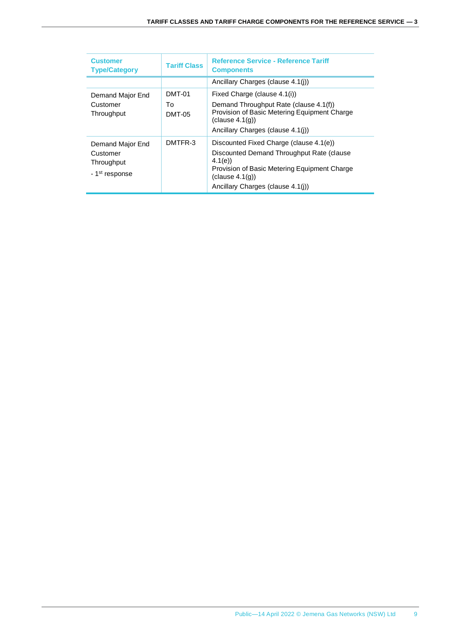| <b>Customer</b><br><b>Type/Category</b>                                  | <b>Tariff Class</b>           | <b>Reference Service - Reference Tariff</b><br><b>Components</b>                                                                                                                                     |
|--------------------------------------------------------------------------|-------------------------------|------------------------------------------------------------------------------------------------------------------------------------------------------------------------------------------------------|
|                                                                          |                               | Ancillary Charges (clause 4.1(i))                                                                                                                                                                    |
| Demand Major End<br>Customer<br>Throughput                               | DMT-01<br>To<br><b>DMT-05</b> | Fixed Charge (clause 4.1(i))<br>Demand Throughput Rate (clause 4.1(f))<br>Provision of Basic Metering Equipment Charge<br>clause 4.1(q)<br>Ancillary Charges (clause 4.1(i))                         |
| Demand Major End<br>Customer<br>Throughput<br>- 1 <sup>st</sup> response | DMTFR-3                       | Discounted Fixed Charge (clause 4.1(e))<br>Discounted Demand Throughput Rate (clause<br>4.1(e)<br>Provision of Basic Metering Equipment Charge<br>clause 4.1(q)<br>Ancillary Charges (clause 4.1(i)) |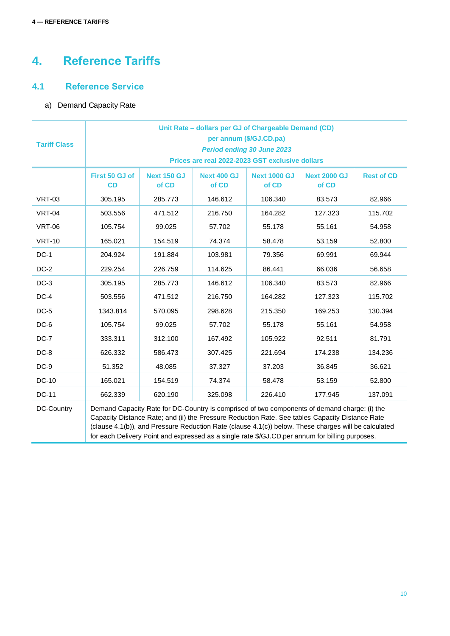# <span id="page-12-0"></span>**4. Reference Tariffs**

### <span id="page-12-1"></span>**4.1 Reference Service**

### a) Demand Capacity Rate

| <b>Tariff Class</b> |                                                                                                                                                                                                                                                                                                         |         |         | Unit Rate - dollars per GJ of Chargeable Demand (CD)<br>per annum (\$/GJ.CD.pa)<br><b>Period ending 30 June 2023</b><br>Prices are real 2022-2023 GST exclusive dollars |         |         |  |  |
|---------------------|---------------------------------------------------------------------------------------------------------------------------------------------------------------------------------------------------------------------------------------------------------------------------------------------------------|---------|---------|-------------------------------------------------------------------------------------------------------------------------------------------------------------------------|---------|---------|--|--|
|                     | <b>Next 400 GJ</b><br><b>Next 1000 GJ</b><br>First 50 GJ of<br><b>Next 150 GJ</b><br><b>Next 2000 GJ</b><br><b>Rest of CD</b><br>CD<br>of CD<br>of CD<br>of CD<br>of CD                                                                                                                                 |         |         |                                                                                                                                                                         |         |         |  |  |
| <b>VRT-03</b>       | 305.195                                                                                                                                                                                                                                                                                                 | 285.773 | 146.612 | 106.340                                                                                                                                                                 | 83.573  | 82.966  |  |  |
| <b>VRT-04</b>       | 503.556                                                                                                                                                                                                                                                                                                 | 471.512 | 216.750 | 164.282                                                                                                                                                                 | 127.323 | 115.702 |  |  |
| <b>VRT-06</b>       | 105.754                                                                                                                                                                                                                                                                                                 | 99.025  | 57.702  | 55.178                                                                                                                                                                  | 55.161  | 54.958  |  |  |
| <b>VRT-10</b>       | 165.021                                                                                                                                                                                                                                                                                                 | 154.519 | 74.374  | 58.478                                                                                                                                                                  | 53.159  | 52.800  |  |  |
| $DC-1$              | 204.924                                                                                                                                                                                                                                                                                                 | 191.884 | 103.981 | 79.356                                                                                                                                                                  | 69.991  | 69.944  |  |  |
| $DC-2$              | 229.254                                                                                                                                                                                                                                                                                                 | 226.759 | 114.625 | 86.441                                                                                                                                                                  | 66.036  | 56.658  |  |  |
| $DC-3$              | 305.195                                                                                                                                                                                                                                                                                                 | 285.773 | 146.612 | 106.340                                                                                                                                                                 | 83.573  | 82.966  |  |  |
| $DC-4$              | 503.556                                                                                                                                                                                                                                                                                                 | 471.512 | 216.750 | 164.282                                                                                                                                                                 | 127.323 | 115.702 |  |  |
| $DC-5$              | 1343.814                                                                                                                                                                                                                                                                                                | 570.095 | 298.628 | 215.350                                                                                                                                                                 | 169.253 | 130.394 |  |  |
| DC-6                | 105.754                                                                                                                                                                                                                                                                                                 | 99.025  | 57.702  | 55.178                                                                                                                                                                  | 55.161  | 54.958  |  |  |
| $DC-7$              | 333.311                                                                                                                                                                                                                                                                                                 | 312.100 | 167.492 | 105.922                                                                                                                                                                 | 92.511  | 81.791  |  |  |
| $DC-8$              | 626.332                                                                                                                                                                                                                                                                                                 | 586.473 | 307.425 | 221.694                                                                                                                                                                 | 174.238 | 134.236 |  |  |
| $DC-9$              | 51.352                                                                                                                                                                                                                                                                                                  | 48.085  | 37.327  | 37.203                                                                                                                                                                  | 36.845  | 36.621  |  |  |
| DC-10               | 165.021                                                                                                                                                                                                                                                                                                 | 154.519 | 74.374  | 58.478                                                                                                                                                                  | 53.159  | 52.800  |  |  |
| <b>DC-11</b>        | 662.339                                                                                                                                                                                                                                                                                                 | 620.190 | 325.098 | 226.410                                                                                                                                                                 | 177.945 | 137.091 |  |  |
| DC-Country          | Demand Capacity Rate for DC-Country is comprised of two components of demand charge: (i) the<br>Capacity Distance Rate; and (ii) the Pressure Reduction Rate. See tables Capacity Distance Rate<br>(clause 4.1(b)), and Pressure Reduction Rate (clause 4.1(c)) below. These charges will be calculated |         |         |                                                                                                                                                                         |         |         |  |  |

for each Delivery Point and expressed as a single rate \$/GJ.CD.per annum for billing purposes.

10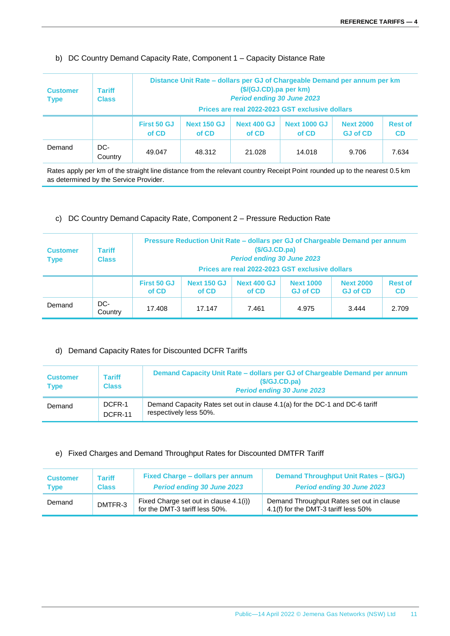### b) DC Country Demand Capacity Rate, Component 1 – Capacity Distance Rate

| <b>Customer</b><br><b>Type</b> | <b>Tariff</b><br><b>Class</b> | Distance Unit Rate – dollars per GJ of Chargeable Demand per annum per km<br>(\$/(GJ.CD).pa per km)<br><b>Period ending 30 June 2023</b><br>Prices are real 2022-2023 GST exclusive dollars |                             |                             |                              |                                     |                             |
|--------------------------------|-------------------------------|---------------------------------------------------------------------------------------------------------------------------------------------------------------------------------------------|-----------------------------|-----------------------------|------------------------------|-------------------------------------|-----------------------------|
|                                |                               | <b>First 50 GJ</b><br>of CD                                                                                                                                                                 | <b>Next 150 GJ</b><br>of CD | <b>Next 400 GJ</b><br>of CD | <b>Next 1000 GJ</b><br>of CD | <b>Next 2000</b><br><b>GJ of CD</b> | <b>Rest of</b><br><b>CD</b> |
| Demand                         | DC-<br>Country                | 49.047                                                                                                                                                                                      | 48.312                      | 21.028                      | 14.018                       | 9.706                               | 7.634                       |

Rates apply per km of the straight line distance from the relevant country Receipt Point rounded up to the nearest 0.5 km as determined by the Service Provider.

### c) DC Country Demand Capacity Rate, Component 2 – Pressure Reduction Rate

| <b>Customer</b><br><b>Type</b> | <b>Tariff</b><br><b>Class</b> |                      | Pressure Reduction Unit Rate - dollars per GJ of Chargeable Demand per annum | (S/GJ.CD.pa)<br><b>Period ending 30 June 2023</b> | Prices are real 2022-2023 GST exclusive dollars |                                     |                             |
|--------------------------------|-------------------------------|----------------------|------------------------------------------------------------------------------|---------------------------------------------------|-------------------------------------------------|-------------------------------------|-----------------------------|
|                                |                               | First 50 GJ<br>of CD | <b>Next 150 GJ</b><br>of CD                                                  | Next 400 GJ<br>of CD                              | <b>Next 1000</b><br><b>GJ of CD</b>             | <b>Next 2000</b><br><b>GJ of CD</b> | <b>Rest of</b><br><b>CD</b> |
| Demand                         | DC-<br>Country                | 17.408               | 17.147                                                                       | 7.461                                             | 4.975                                           | 3.444                               | 2.709                       |

#### d) Demand Capacity Rates for Discounted DCFR Tariffs

| <b>Customer</b><br><b>Type</b> | <b>Tariff</b><br><b>Class</b> | Demand Capacity Unit Rate – dollars per GJ of Chargeable Demand per annum<br>(S/GJ.CD.pa)<br><b>Period ending 30 June 2023</b> |
|--------------------------------|-------------------------------|--------------------------------------------------------------------------------------------------------------------------------|
| Demand                         | DCFR-1<br>DCFR-11             | Demand Capacity Rates set out in clause 4.1(a) for the DC-1 and DC-6 tariff<br>respectively less 50%.                          |

#### e) Fixed Charges and Demand Throughput Rates for Discounted DMTFR Tariff

| <b>Customer</b> | <b>Tariff</b> | Fixed Charge – dollars per annum                                         | <b>Demand Throughput Unit Rates - (\$/GJ)</b>                                     |
|-----------------|---------------|--------------------------------------------------------------------------|-----------------------------------------------------------------------------------|
| Type            | <b>Class</b>  | <b>Period ending 30 June 2023</b>                                        | <b>Period ending 30 June 2023</b>                                                 |
| Demand          | DMTFR-3       | Fixed Charge set out in clause 4.1(i))<br>for the DMT-3 tariff less 50%. | Demand Throughput Rates set out in clause<br>4.1(f) for the DMT-3 tariff less 50% |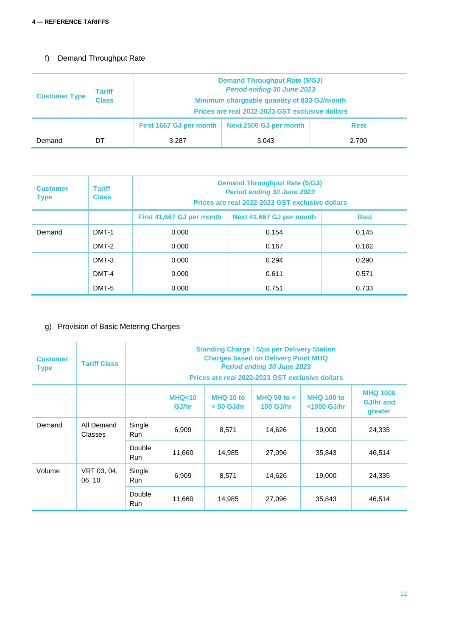## f) Demand Throughput Rate

| <b>Customer Type</b> | <b>Tariff</b><br><b>Class</b> | <b>Demand Throughput Rate (\$/GJ)</b><br><b>Period ending 30 June 2023</b><br>Minimum chargeable quantity of 833 GJ/month<br>Prices are real 2022-2023 GST exclusive dollars |       |       |  |  |
|----------------------|-------------------------------|------------------------------------------------------------------------------------------------------------------------------------------------------------------------------|-------|-------|--|--|
|                      |                               | Next 2500 GJ per month<br>First 1667 GJ per month<br><b>Rest</b>                                                                                                             |       |       |  |  |
| Demand               | DT                            | 3.287                                                                                                                                                                        | 3.043 | 2.700 |  |  |

| <b>Customer</b><br><b>Type</b> | <b>Tariff</b><br><b>Class</b> | <b>Demand Throughput Rate (\$/GJ)</b><br><b>Period ending 30 June 2023</b><br>Prices are real 2022-2023 GST exclusive dollars |                          |             |  |  |  |
|--------------------------------|-------------------------------|-------------------------------------------------------------------------------------------------------------------------------|--------------------------|-------------|--|--|--|
|                                |                               | First 41,667 GJ per month                                                                                                     | Next 41,667 GJ per month | <b>Rest</b> |  |  |  |
| Demand                         | DMT-1                         | 0.000                                                                                                                         | 0.154                    | 0.145       |  |  |  |
|                                | DMT-2                         | 0.000                                                                                                                         | 0.167                    | 0.162       |  |  |  |
|                                | DMT-3                         | 0.000                                                                                                                         | 0.294                    | 0.290       |  |  |  |
|                                | DMT-4                         | 0.000                                                                                                                         | 0.611                    | 0.571       |  |  |  |
|                                | DMT-5                         | 0.000                                                                                                                         | 0.751                    | 0.733       |  |  |  |

## g) Provision of Basic Metering Charges

| <b>Customer</b><br><b>Type</b> | <b>Tariff Class</b>          | <b>Standing Charge: \$/pa per Delivery Station</b><br><b>Charges based on Delivery Point MHQ</b><br><b>Period ending 30 June 2023</b><br>Prices are real 2022-2023 GST exclusive dollars |                           |                           |                                     |                                  |                                                |  |
|--------------------------------|------------------------------|------------------------------------------------------------------------------------------------------------------------------------------------------------------------------------------|---------------------------|---------------------------|-------------------------------------|----------------------------------|------------------------------------------------|--|
|                                |                              |                                                                                                                                                                                          | <b>MHQ&lt;10</b><br>GJ/hr | MHQ 10 to<br>$< 50$ GJ/hr | MHQ 50 to $\lt$<br><b>100 GJ/hr</b> | <b>MHQ 100 to</b><br><1000 GJ/hr | <b>MHQ 1000</b><br><b>GJ/hr and</b><br>greater |  |
| Demand                         | All Demand<br><b>Classes</b> | Single<br>Run                                                                                                                                                                            | 6,909                     | 8,571                     | 14,626                              | 19,000                           | 24,335                                         |  |
|                                |                              | Double<br><b>Run</b>                                                                                                                                                                     | 11,660                    | 14,985                    | 27,096                              | 35,843                           | 46,514                                         |  |
| Volume                         | VRT 03, 04,<br>06, 10        | Single<br><b>Run</b>                                                                                                                                                                     | 6,909                     | 8,571                     | 14,626                              | 19,000                           | 24,335                                         |  |
|                                |                              | Double<br>Run                                                                                                                                                                            | 11,660                    | 14,985                    | 27,096                              | 35,843                           | 46,514                                         |  |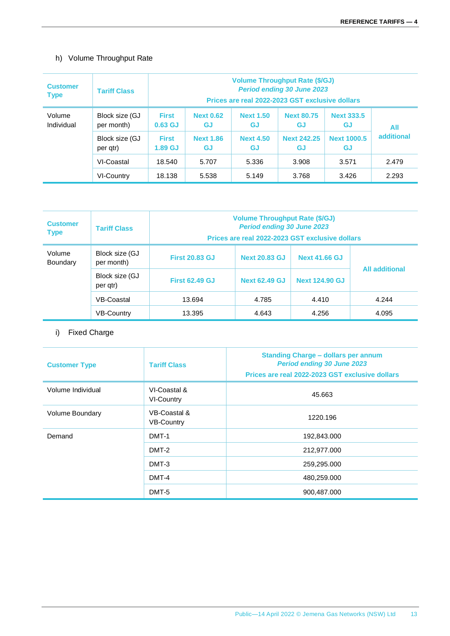## h) Volume Throughput Rate

| <b>Customer</b><br><b>Type</b> | <b>Tariff Class</b>          |                                    | <b>Volume Throughput Rate (\$/GJ)</b><br><b>Period ending 30 June 2023</b><br>Prices are real 2022-2023 GST exclusive dollars |                               |                                 |                                 |            |  |
|--------------------------------|------------------------------|------------------------------------|-------------------------------------------------------------------------------------------------------------------------------|-------------------------------|---------------------------------|---------------------------------|------------|--|
| Volume<br>Individual           | Block size (GJ<br>per month) | <b>First</b><br>0.63 <sub>GL</sub> | <b>Next 0.62</b><br><b>GJ</b>                                                                                                 | <b>Next 1.50</b><br><b>GJ</b> | <b>Next 80.75</b><br>GJ         | <b>Next 333.5</b><br><b>GJ</b>  | All        |  |
|                                | Block size (GJ<br>per qtr)   | <b>First</b><br>1.89 GJ            | <b>Next 1.86</b><br><b>GJ</b>                                                                                                 | <b>Next 4.50</b><br>GJ.       | <b>Next 242.25</b><br><b>GJ</b> | <b>Next 1000.5</b><br><b>GJ</b> | additional |  |
|                                | VI-Coastal                   | 18.540                             | 5.707                                                                                                                         | 5.336                         | 3.908                           | 3.571                           | 2.479      |  |
|                                | VI-Country                   | 18.138                             | 5.538                                                                                                                         | 5.149                         | 3.768                           | 3.426                           | 2.293      |  |

| <b>Customer</b><br><b>Type</b> | <b>Tariff Class</b>          | <b>Volume Throughput Rate (\$/GJ)</b><br><b>Period ending 30 June 2023</b><br>Prices are real 2022-2023 GST exclusive dollars |                      |                       |                       |  |  |  |
|--------------------------------|------------------------------|-------------------------------------------------------------------------------------------------------------------------------|----------------------|-----------------------|-----------------------|--|--|--|
| Volume<br>Boundary             | Block size (GJ<br>per month) | <b>First 20.83 GJ</b>                                                                                                         | <b>Next 20.83 GJ</b> | <b>Next 41.66 GJ</b>  |                       |  |  |  |
|                                | Block size (GJ<br>per qtr)   | <b>First 62.49 GJ</b>                                                                                                         | <b>Next 62.49 GJ</b> | <b>Next 124.90 GJ</b> | <b>All additional</b> |  |  |  |
|                                | VB-Coastal                   | 13.694                                                                                                                        | 4.785                | 4.410                 | 4.244                 |  |  |  |
|                                | <b>VB-Country</b>            | 13.395                                                                                                                        | 4.643                | 4.256                 | 4.095                 |  |  |  |

# i) Fixed Charge

| <b>Customer Type</b> | <b>Tariff Class</b>               | <b>Standing Charge - dollars per annum</b><br><b>Period ending 30 June 2023</b><br>Prices are real 2022-2023 GST exclusive dollars |
|----------------------|-----------------------------------|------------------------------------------------------------------------------------------------------------------------------------|
| Volume Individual    | VI-Coastal &<br><b>VI-Country</b> | 45.663                                                                                                                             |
| Volume Boundary      | VB-Coastal &<br><b>VB-Country</b> | 1220.196                                                                                                                           |
| Demand               | DMT-1                             | 192,843.000                                                                                                                        |
|                      | DMT-2                             | 212,977.000                                                                                                                        |
|                      | DMT-3                             | 259,295.000                                                                                                                        |
|                      | DMT-4                             | 480,259.000                                                                                                                        |
|                      | DMT-5                             | 900,487.000                                                                                                                        |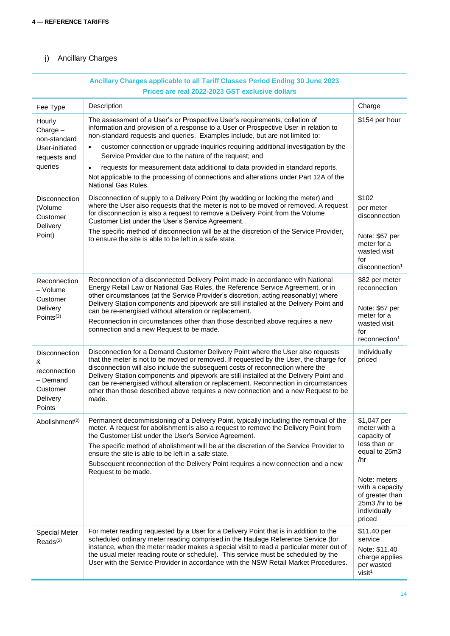## j) Ancillary Charges

### **Ancillary Charges applicable to all Tariff Classes Period Ending 30 June 2023 Prices are real 2022-2023 GST exclusive dollars**

| Fee Type                                                                         | Description                                                                                                                                                                                                                                                                                                                                                                                                                                                                                                                                  | Charge                                                                                                                                                                               |
|----------------------------------------------------------------------------------|----------------------------------------------------------------------------------------------------------------------------------------------------------------------------------------------------------------------------------------------------------------------------------------------------------------------------------------------------------------------------------------------------------------------------------------------------------------------------------------------------------------------------------------------|--------------------------------------------------------------------------------------------------------------------------------------------------------------------------------------|
| Hourly<br>Charge $-$<br>non-standard<br>User-initiated                           | The assessment of a User's or Prospective User's requirements, collation of<br>information and provision of a response to a User or Prospective User in relation to<br>non-standard requests and queries. Examples include, but are not limited to:<br>customer connection or upgrade inquiries requiring additional investigation by the<br>$\bullet$                                                                                                                                                                                       | \$154 per hour                                                                                                                                                                       |
| requests and<br>queries                                                          | Service Provider due to the nature of the request; and<br>requests for measurement data additional to data provided in standard reports.<br>$\bullet$<br>Not applicable to the processing of connections and alterations under Part 12A of the<br>National Gas Rules.                                                                                                                                                                                                                                                                        |                                                                                                                                                                                      |
| Disconnection<br>(Volume<br>Customer<br>Delivery<br>Point)                       | Disconnection of supply to a Delivery Point (by wadding or locking the meter) and<br>where the User also requests that the meter is not to be moved or removed. A request<br>for disconnection is also a request to remove a Delivery Point from the Volume<br>Customer List under the User's Service Agreement<br>The specific method of disconnection will be at the discretion of the Service Provider,<br>to ensure the site is able to be left in a safe state.                                                                         | \$102<br>per meter<br>disconnection<br>Note: \$67 per<br>meter for a<br>wasted visit<br>for<br>disconnection <sup>1</sup>                                                            |
| Reconnection<br>- Volume<br>Customer<br>Delivery<br>Points $(2)$                 | Reconnection of a disconnected Delivery Point made in accordance with National<br>Energy Retail Law or National Gas Rules, the Reference Service Agreement, or in<br>other circumstances (at the Service Provider's discretion, acting reasonably) where<br>Delivery Station components and pipework are still installed at the Delivery Point and<br>can be re-energised without alteration or replacement.<br>Reconnection in circumstances other than those described above requires a new<br>connection and a new Request to be made.    | \$82 per meter<br>reconnection<br>Note: \$67 per<br>meter for a<br>wasted visit<br>for<br>reconnection <sup>1</sup>                                                                  |
| Disconnection<br>&<br>reconnection<br>- Demand<br>Customer<br>Delivery<br>Points | Disconnection for a Demand Customer Delivery Point where the User also requests<br>that the meter is not to be moved or removed. If requested by the User, the charge for<br>disconnection will also include the subsequent costs of reconnection where the<br>Delivery Station components and pipework are still installed at the Delivery Point and<br>can be re-energised without alteration or replacement. Reconnection in circumstances<br>other than those described above requires a new connection and a new Request to be<br>made. | Individually<br>priced                                                                                                                                                               |
| Abolishment <sup>(2)</sup>                                                       | Permanent decommissioning of a Delivery Point, typically including the removal of the<br>meter. A request for abolishment is also a request to remove the Delivery Point from<br>the Customer List under the User's Service Agreement.<br>The specific method of abolishment will be at the discretion of the Service Provider to<br>ensure the site is able to be left in a safe state.<br>Subsequent reconnection of the Delivery Point requires a new connection and a new<br>Request to be made.                                         | \$1,047 per<br>meter with a<br>capacity of<br>less than or<br>equal to 25m3<br>/hr<br>Note: meters<br>with a capacity<br>of greater than<br>25m3 /hr to be<br>individually<br>priced |
| <b>Special Meter</b><br>Reads <sup>(2)</sup>                                     | For meter reading requested by a User for a Delivery Point that is in addition to the<br>scheduled ordinary meter reading comprised in the Haulage Reference Service (for<br>instance, when the meter reader makes a special visit to read a particular meter out of<br>the usual meter reading route or schedule). This service must be scheduled by the<br>User with the Service Provider in accordance with the NSW Retail Market Procedures.                                                                                             | \$11.40 per<br>service<br>Note: \$11.40<br>charge applies<br>per wasted<br>visit <sup>1</sup>                                                                                        |